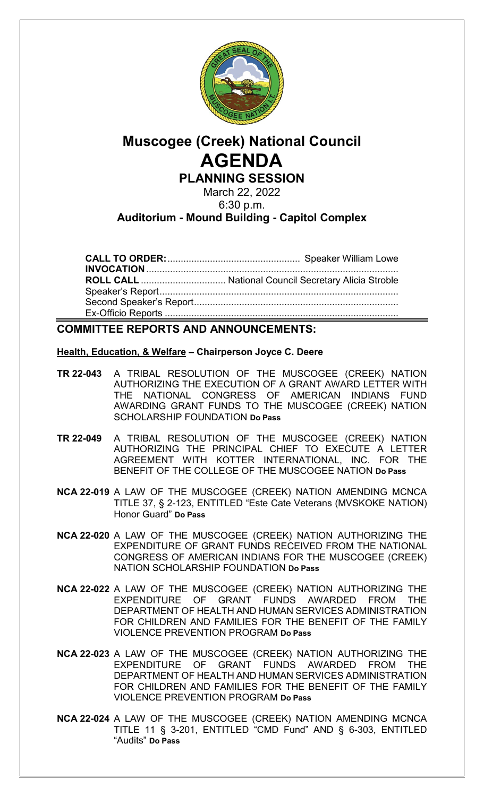

# **Muscogee (Creek) National Council AGENDA PLANNING SESSION**

March 22, 2022 6:30 p.m.

### **Auditorium - Mound Building - Capitol Complex**

**CALL TO ORDER:**.................................................. Speaker William Lowe **INVOCATION**............................................................................................... **ROLL CALL** ................................ National Council Secretary Alicia Stroble Speaker's Report.......................................................................................... Second Speaker's Report............................................................................. Ex-Officio Reports ........................................................................................

### **COMMITTEE REPORTS AND ANNOUNCEMENTS:**

#### **Health, Education, & Welfare – Chairperson Joyce C. Deere**

- **TR 22-043** A TRIBAL RESOLUTION OF THE MUSCOGEE (CREEK) NATION AUTHORIZING THE EXECUTION OF A GRANT AWARD LETTER WITH THE NATIONAL CONGRESS OF AMERICAN INDIANS FUND AWARDING GRANT FUNDS TO THE MUSCOGEE (CREEK) NATION SCHOLARSHIP FOUNDATION **Do Pass**
- **TR 22-049** A TRIBAL RESOLUTION OF THE MUSCOGEE (CREEK) NATION AUTHORIZING THE PRINCIPAL CHIEF TO EXECUTE A LETTER AGREEMENT WITH KOTTER INTERNATIONAL, INC. FOR THE BENEFIT OF THE COLLEGE OF THE MUSCOGEE NATION **Do Pass**
- **NCA 22-019** A LAW OF THE MUSCOGEE (CREEK) NATION AMENDING MCNCA TITLE 37, § 2-123, ENTITLED "Este Cate Veterans (MVSKOKE NATION) Honor Guard" **Do Pass**
- **NCA 22-020** A LAW OF THE MUSCOGEE (CREEK) NATION AUTHORIZING THE EXPENDITURE OF GRANT FUNDS RECEIVED FROM THE NATIONAL CONGRESS OF AMERICAN INDIANS FOR THE MUSCOGEE (CREEK) NATION SCHOLARSHIP FOUNDATION **Do Pass**
- **NCA 22-022** A LAW OF THE MUSCOGEE (CREEK) NATION AUTHORIZING THE GRANT FUNDS AWARDED FROM THE DEPARTMENT OF HEALTH AND HUMAN SERVICES ADMINISTRATION FOR CHILDREN AND FAMILIES FOR THE BENEFIT OF THE FAMILY VIOLENCE PREVENTION PROGRAM **Do Pass**
- **NCA 22-023** A LAW OF THE MUSCOGEE (CREEK) NATION AUTHORIZING THE EXPENDITURE OF GRANT FUNDS AWARDED FROM THE DEPARTMENT OF HEALTH AND HUMAN SERVICES ADMINISTRATION FOR CHILDREN AND FAMILIES FOR THE BENEFIT OF THE FAMILY VIOLENCE PREVENTION PROGRAM **Do Pass**
- **NCA 22-024** A LAW OF THE MUSCOGEE (CREEK) NATION AMENDING MCNCA TITLE 11 § 3-201, ENTITLED "CMD Fund" AND § 6-303, ENTITLED "Audits" **Do Pass**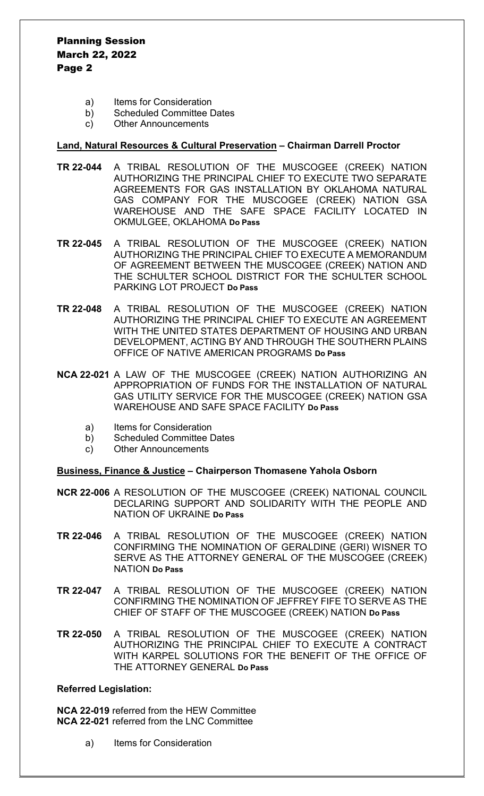Planning Session March 22, 2022 Page 2

- a) Items for Consideration
- b) Scheduled Committee Dates
- c) Other Announcements

#### **Land, Natural Resources & Cultural Preservation – Chairman Darrell Proctor**

- **TR 22-044** A TRIBAL RESOLUTION OF THE MUSCOGEE (CREEK) NATION AUTHORIZING THE PRINCIPAL CHIEF TO EXECUTE TWO SEPARATE AGREEMENTS FOR GAS INSTALLATION BY OKLAHOMA NATURAL GAS COMPANY FOR THE MUSCOGEE (CREEK) NATION GSA WAREHOUSE AND THE SAFE SPACE FACILITY LOCATED IN OKMULGEE, OKLAHOMA **Do Pass**
- **TR 22-045** A TRIBAL RESOLUTION OF THE MUSCOGEE (CREEK) NATION AUTHORIZING THE PRINCIPAL CHIEF TO EXECUTE A MEMORANDUM OF AGREEMENT BETWEEN THE MUSCOGEE (CREEK) NATION AND THE SCHULTER SCHOOL DISTRICT FOR THE SCHULTER SCHOOL PARKING LOT PROJECT **Do Pass**
- **TR 22-048** A TRIBAL RESOLUTION OF THE MUSCOGEE (CREEK) NATION AUTHORIZING THE PRINCIPAL CHIEF TO EXECUTE AN AGREEMENT WITH THE UNITED STATES DEPARTMENT OF HOUSING AND URBAN DEVELOPMENT, ACTING BY AND THROUGH THE SOUTHERN PLAINS OFFICE OF NATIVE AMERICAN PROGRAMS **Do Pass**
- **NCA 22-021** A LAW OF THE MUSCOGEE (CREEK) NATION AUTHORIZING AN APPROPRIATION OF FUNDS FOR THE INSTALLATION OF NATURAL GAS UTILITY SERVICE FOR THE MUSCOGEE (CREEK) NATION GSA WAREHOUSE AND SAFE SPACE FACILITY **Do Pass**
	- a) Items for Consideration
	- b) Scheduled Committee Dates
	- c) Other Announcements

#### **Business, Finance & Justice – Chairperson Thomasene Yahola Osborn**

- **NCR 22-006** A RESOLUTION OF THE MUSCOGEE (CREEK) NATIONAL COUNCIL DECLARING SUPPORT AND SOLIDARITY WITH THE PEOPLE AND NATION OF UKRAINE **Do Pass**
- **TR 22-046** A TRIBAL RESOLUTION OF THE MUSCOGEE (CREEK) NATION CONFIRMING THE NOMINATION OF GERALDINE (GERI) WISNER TO SERVE AS THE ATTORNEY GENERAL OF THE MUSCOGEE (CREEK) NATION **Do Pass**
- **TR 22-047** A TRIBAL RESOLUTION OF THE MUSCOGEE (CREEK) NATION CONFIRMING THE NOMINATION OF JEFFREY FIFE TO SERVE AS THE CHIEF OF STAFF OF THE MUSCOGEE (CREEK) NATION **Do Pass**
- **TR 22-050** A TRIBAL RESOLUTION OF THE MUSCOGEE (CREEK) NATION AUTHORIZING THE PRINCIPAL CHIEF TO EXECUTE A CONTRACT WITH KARPEL SOLUTIONS FOR THE BENEFIT OF THE OFFICE OF THE ATTORNEY GENERAL **Do Pass**

#### **Referred Legislation:**

**NCA 22-019** referred from the HEW Committee **NCA 22-021** referred from the LNC Committee

a) Items for Consideration